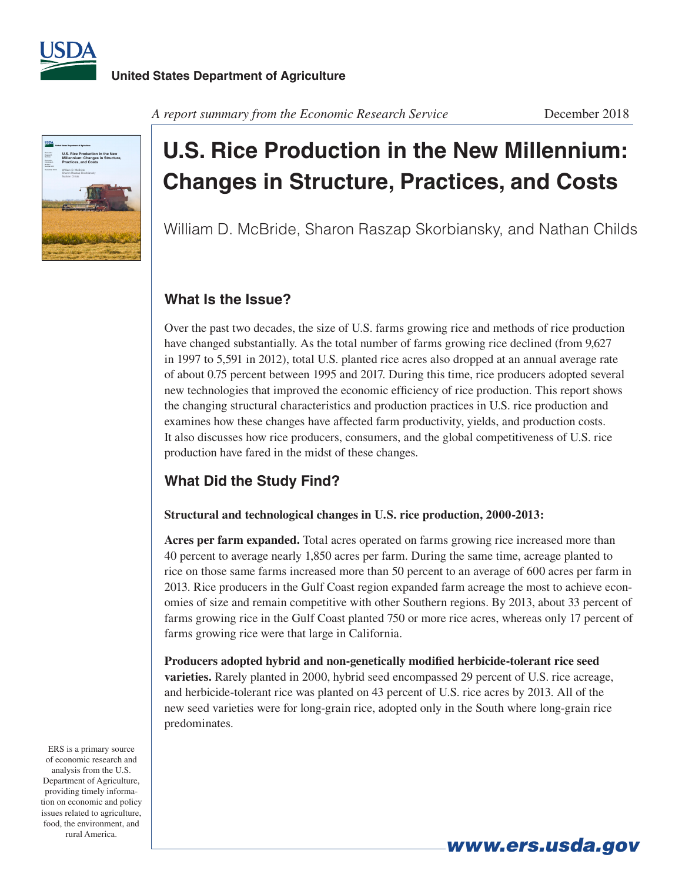



# **U.S. Rice Production in the New Millennium: Changes in Structure, Practices, and Costs**

William D. McBride, Sharon Raszap Skorbiansky, and Nathan Childs

## **What Is the Issue?**

Over the past two decades, the size of U.S. farms growing rice and methods of rice production have changed substantially. As the total number of farms growing rice declined (from 9,627 in 1997 to 5,591 in 2012), total U.S. planted rice acres also dropped at an annual average rate of about 0.75 percent between 1995 and 2017. During this time, rice producers adopted several new technologies that improved the economic efficiency of rice production. This report shows the changing structural characteristics and production practices in U.S. rice production and examines how these changes have affected farm productivity, yields, and production costs. It also discusses how rice producers, consumers, and the global competitiveness of U.S. rice production have fared in the midst of these changes.

## **What Did the Study Find?**

#### **Structural and technological changes in U.S. rice production, 2000-2013:**

**Acres per farm expanded.** Total acres operated on farms growing rice increased more than 40 percent to average nearly 1,850 acres per farm. During the same time, acreage planted to rice on those same farms increased more than 50 percent to an average of 600 acres per farm in 2013. Rice producers in the Gulf Coast region expanded farm acreage the most to achieve economies of size and remain competitive with other Southern regions. By 2013, about 33 percent of farms growing rice in the Gulf Coast planted 750 or more rice acres, whereas only 17 percent of farms growing rice were that large in California.

**Producers adopted hybrid and non-genetically modified herbicide-tolerant rice seed varieties.** Rarely planted in 2000, hybrid seed encompassed 29 percent of U.S. rice acreage, and herbicide-tolerant rice was planted on 43 percent of U.S. rice acres by 2013. All of the new seed varieties were for long-grain rice, adopted only in the South where long-grain rice predominates.

ERS is a primary source of economic research and analysis from the U.S. Department of Agriculture, providing timely information on economic and policy issues related to agriculture, food, the environment, and rural America.

*www.ers.usda.gov*